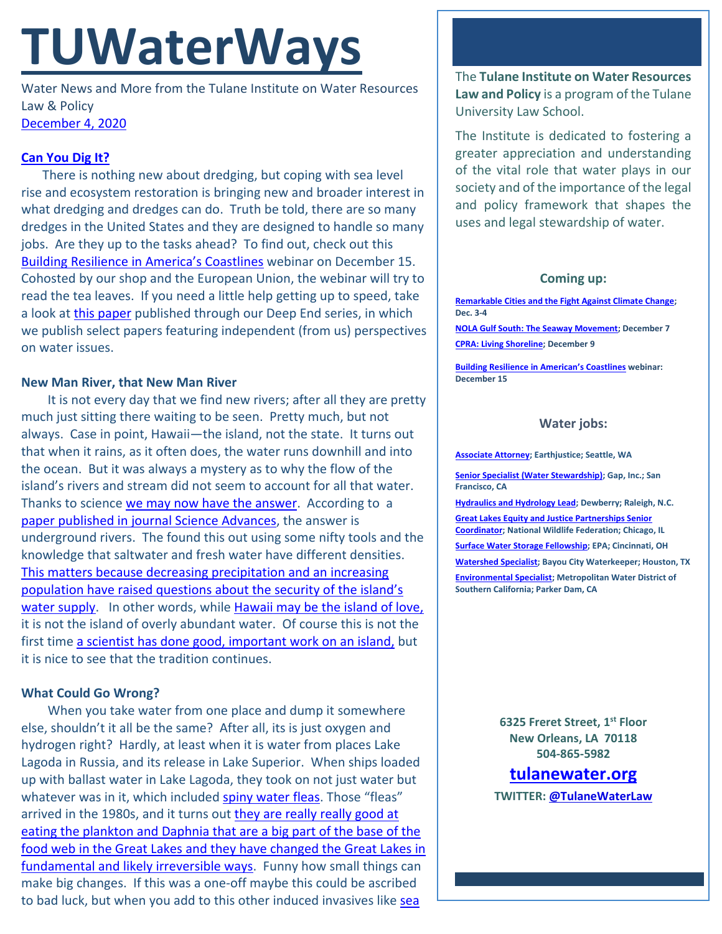# **TUWaterWays**

Water News and More from the Tulane Institute on Water Resources Law & Policy [December 4, 2020](https://thisdayinwaterhistory.wordpress.com/)

# **[Can You Dig It?](https://www.youtube.com/watch?v=xStRsEDhqc4)**

There is nothing new about dredging, but coping with sea level rise and ecosystem restoration is bringing new and broader interest in what dredging and dredges can do. Truth be told, there are so many dredges in the United States and they are designed to handle so many jobs. Are they up to the tasks ahead? To find out, check out this [Building Resilience in America's Coastlines](https://www.eventbrite.com/e/building-resiliency-in-americas-coastlines-tickets-129056721127) webinar on December 15. Cohosted by our shop and the European Union, the webinar will try to read the tea leaves. If you need a little help getting up to speed, take a look at [this paper](https://a21005ea-f0f0-4cff-a527-7c658373c740.filesusr.com/ugd/32079b_faaf1189c659474eac73b75c080ab9a0.pdf) published through our Deep End series, in which we publish select papers featuring independent (from us) perspectives on water issues.

## **New Man River, that New Man River**

It is not every day that we find new rivers; after all they are pretty much just sitting there waiting to be seen. Pretty much, but not always. Case in point, Hawaii—the island, not the state. It turns out that when it rains, as it often does, the water runs downhill and into the ocean. But it was always a mystery as to why the flow of the island's rivers and stream did not seem to account for all that water. Thanks to science [we may now have the answer.](https://www.smithsonianmag.com/smart-news/hawaii-fresh-water-flows-island-ocean-newly-discovered-undergorund-rivers-180976429/) According to a [paper published in journal Science Advances,](https://advances.sciencemag.org/content/6/48/eabd4866) the answer is underground rivers. The found this out using some nifty tools and the knowledge that saltwater and fresh water have different densities. This [matters because decreasing precipitation and an increasing](https://www.hawaiicommunityfoundation.org/strengthening/fresh-water)  [population have raised questions about the security of the island's](https://www.hawaiicommunityfoundation.org/strengthening/fresh-water)  water [supply.](https://www.hawaiicommunityfoundation.org/strengthening/fresh-water) In other words, while [Hawaii may be the island of love,](https://www.youtube.com/watch?v=gSBf5Ppl1v4) it is not the island of overly abundant water. Of course this is not the first time [a scientist has done good, important work on an island,](https://www.mentalfloss.com/article/54580/11-professors-best-inventions-gilligans-island) but it is nice to see that the tradition continues.

## **What Could Go Wrong?**

When you take water from one place and dump it somewhere else, shouldn't it all be the same? After all, its is just oxygen and hydrogen right? Hardly, at least when it is water from places Lake Lagoda in Russia, and its release in Lake Superior. When ships loaded up with ballast water in Lake Lagoda, they took on not just water but whatever was in it, which included [spiny water fleas](https://www.maisrc.umn.edu/about-spinywaterflea). Those "fleas" arrived in the 1980s, and it turns out they are really really good at [eating the plankton and Daphnia that are a big part of the base of the](https://www.nationalgeographic.com/environment/2020/12/invasive-water-fleas-decimating-plankton-in-great-lakes/)  [food web in the Great Lakes and they have changed the Great Lakes in](https://www.nationalgeographic.com/environment/2020/12/invasive-water-fleas-decimating-plankton-in-great-lakes/)  [fundamental and likely irreversible ways.](https://www.nationalgeographic.com/environment/2020/12/invasive-water-fleas-decimating-plankton-in-great-lakes/) Funny how small things can make big changes. If this was a one-off maybe this could be ascribed to bad luck, but when you add to this other induced invasives like sea

The **Tulane Institute on Water Resources Law and Policy** is a program of the Tulane University Law School.

The Institute is dedicated to fostering a greater appreciation and understanding of the vital role that water plays in our society and of the importance of the legal and policy framework that shapes the uses and legal stewardship of water.

#### **Coming up:**

**[Remarkable Cities and the Fight Against Climate Change;](https://www.eli.org/events/remarkable-cities-and-fight-against-climate-change) Dec. 3-4**

**[NOLA Gulf South: The Seaway Movement;](https://liberalarts.tulane.edu/events/annual-monroe-lecture-richard-campanella-presents-seaway-movement) December 7 CPRA: [Living Shoreline;](https://coastal.la.gov/calendar/) December 9**

**[Building Resilience in American's Coastlines](https://www.eventbrite.com/e/building-resiliency-in-americas-coastlines-tickets-129056721127) webinar: December 15**

#### **Water jobs:**

**[Associate Attorney;](https://jobs.jobvite.com/earthjustice/job/o2Modfw9?nl=1) Earthjustice; Seattle, WA**

**[Senior Specialist \(Water Stewardship\);](https://www.gapinc.com/en-us/jobs/33/88/senior-specialist-water-stewardship) Gap, Inc.; San Francisco, CA** 

**[Hydraulics and Hydrology Lead;](https://www.joshswaterjobs.com/jobs/25878) Dewberry; Raleigh, N.C. [Great Lakes Equity and Justice Partnerships Senior](https://recruiting.ultipro.com/NAT1047NWF/JobBoard/1ca8346a-33cc-401d-90d9-d7f752fdfd7d/OpportunityDetail?opportunityId=25e09a96-28f6-4243-8fa8-39241086eb17)  [Coordinator;](https://recruiting.ultipro.com/NAT1047NWF/JobBoard/1ca8346a-33cc-401d-90d9-d7f752fdfd7d/OpportunityDetail?opportunityId=25e09a96-28f6-4243-8fa8-39241086eb17) National Wildlife Federation; Chicago, IL**

**[Surface Water Storage Fellowship;](https://www.zintellect.com/Opportunity/Details/EPA-ORD-CEMM-WECD-2020-02) EPA; Cincinnati, OH**

**[Watershed Specialist;](https://bayoucitywaterkeeper.org/who-we-are/career/) Bayou City Waterkeeper; Houston, TX [Environmental Specialist;](https://bcwaterjobs.secure.force.com/ViewJob?id=a0C0e00000ORx1hEAD) Metropolitan Water District of Southern California; Parker Dam, CA**

> **6325 Freret Street, 1st Floor New Orleans, LA 70118 504-865-5982**

## **[tulanewater.org](file:///C:/Users/waterlaw/Downloads/tulanewater.org)**

**TWITTER[: @TulaneWaterLaw](http://www.twitter.com/TulaneWaterLaw)**